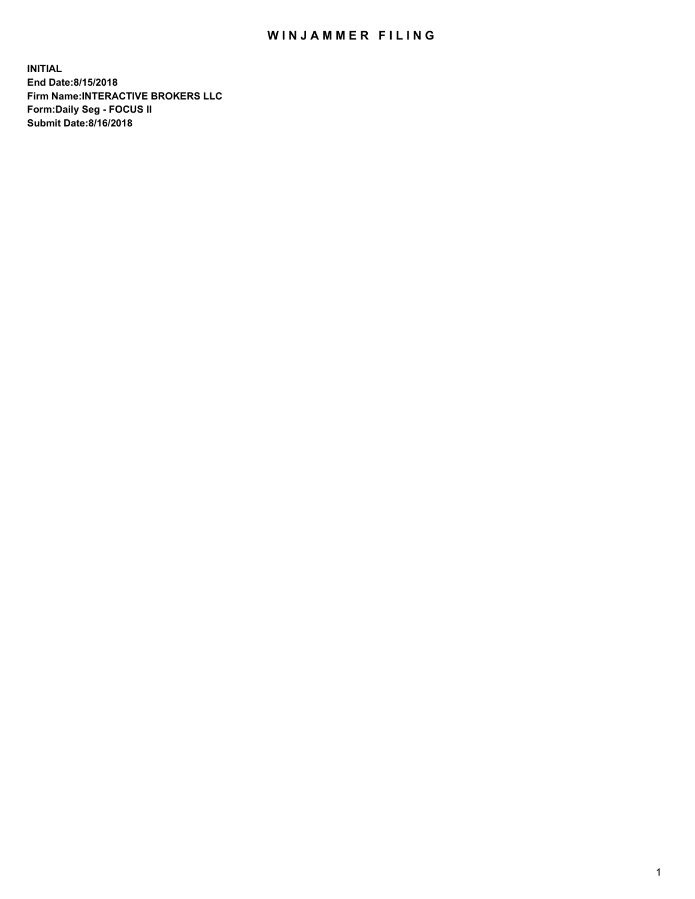## WIN JAMMER FILING

**INITIAL End Date:8/15/2018 Firm Name:INTERACTIVE BROKERS LLC Form:Daily Seg - FOCUS II Submit Date:8/16/2018**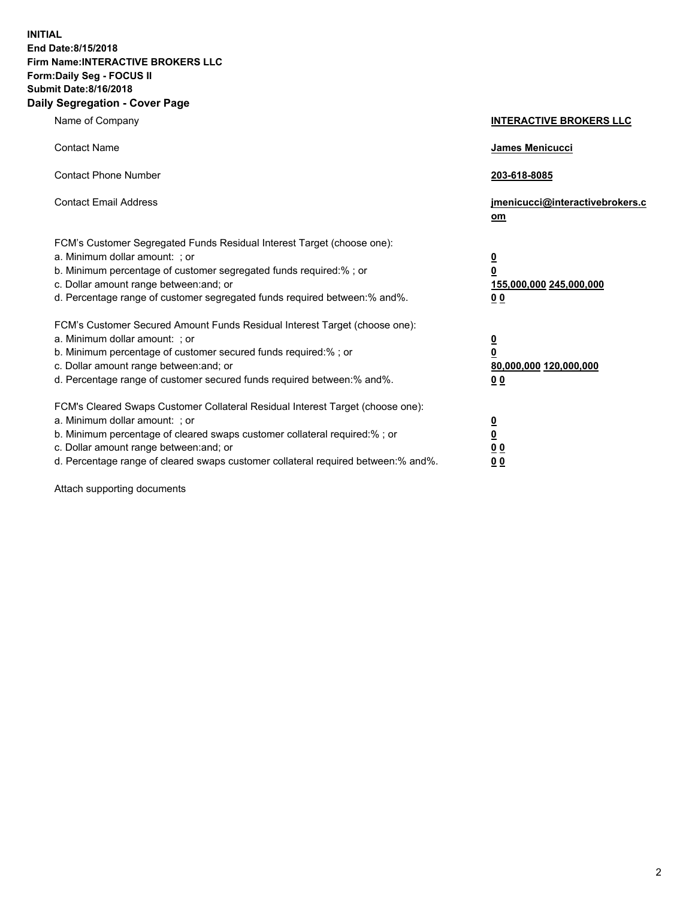**INITIAL End Date:8/15/2018 Firm Name:INTERACTIVE BROKERS LLC Form:Daily Seg - FOCUS II Submit Date:8/16/2018 Daily Segregation - Cover Page**

| Name of Company                                                                                                                                                                                                                                                                                                                | <b>INTERACTIVE BROKERS LLC</b>                                                                  |
|--------------------------------------------------------------------------------------------------------------------------------------------------------------------------------------------------------------------------------------------------------------------------------------------------------------------------------|-------------------------------------------------------------------------------------------------|
| <b>Contact Name</b>                                                                                                                                                                                                                                                                                                            | James Menicucci                                                                                 |
| <b>Contact Phone Number</b>                                                                                                                                                                                                                                                                                                    | 203-618-8085                                                                                    |
| <b>Contact Email Address</b>                                                                                                                                                                                                                                                                                                   | jmenicucci@interactivebrokers.c<br>om                                                           |
| FCM's Customer Segregated Funds Residual Interest Target (choose one):<br>a. Minimum dollar amount: ; or<br>b. Minimum percentage of customer segregated funds required:% ; or<br>c. Dollar amount range between: and; or<br>d. Percentage range of customer segregated funds required between:% and%.                         | $\overline{\mathbf{0}}$<br>$\overline{\mathbf{0}}$<br>155,000,000 245,000,000<br>0 <sub>0</sub> |
| FCM's Customer Secured Amount Funds Residual Interest Target (choose one):<br>a. Minimum dollar amount: ; or<br>b. Minimum percentage of customer secured funds required:% ; or<br>c. Dollar amount range between: and; or<br>d. Percentage range of customer secured funds required between:% and%.                           | $\overline{\mathbf{0}}$<br>0<br>80,000,000 120,000,000<br>0 <sub>0</sub>                        |
| FCM's Cleared Swaps Customer Collateral Residual Interest Target (choose one):<br>a. Minimum dollar amount: ; or<br>b. Minimum percentage of cleared swaps customer collateral required:% ; or<br>c. Dollar amount range between: and; or<br>d. Percentage range of cleared swaps customer collateral required between:% and%. | $\overline{\mathbf{0}}$<br><u>0</u><br>$\underline{0}$ $\underline{0}$<br>00                    |

Attach supporting documents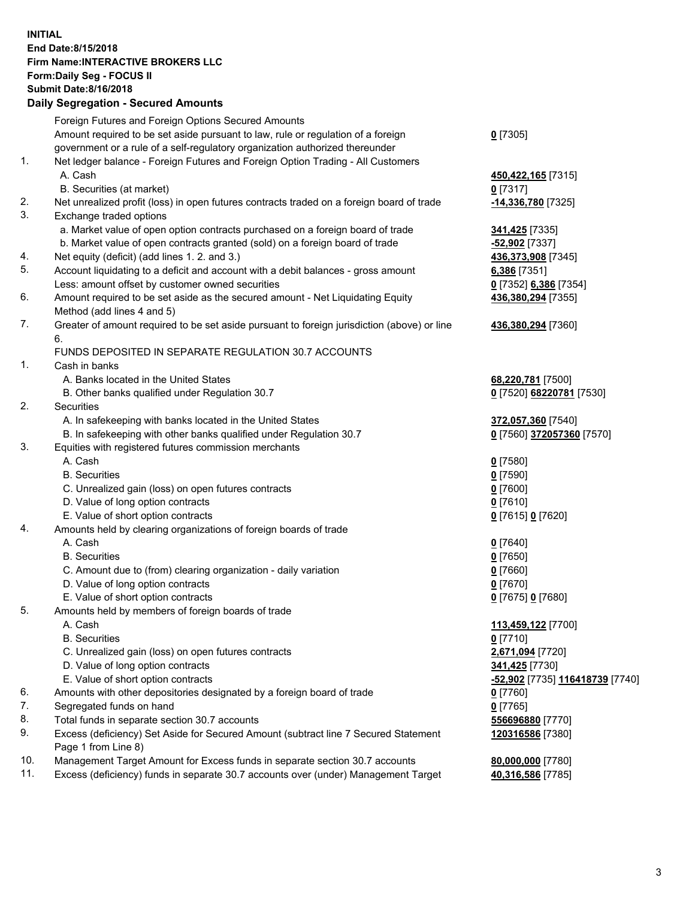## **INITIAL End Date:8/15/2018 Firm Name:INTERACTIVE BROKERS LLC Form:Daily Seg - FOCUS II Submit Date:8/16/2018 Daily Segregation - Secured Amounts**

|     | Daily Segregation - Secured Aniounts                                                               |                                              |
|-----|----------------------------------------------------------------------------------------------------|----------------------------------------------|
|     | Foreign Futures and Foreign Options Secured Amounts                                                |                                              |
|     | Amount required to be set aside pursuant to law, rule or regulation of a foreign                   | $0$ [7305]                                   |
|     | government or a rule of a self-regulatory organization authorized thereunder                       |                                              |
| 1.  | Net ledger balance - Foreign Futures and Foreign Option Trading - All Customers                    |                                              |
|     | A. Cash                                                                                            | 450,422,165 [7315]                           |
|     | B. Securities (at market)                                                                          | $0$ [7317]                                   |
| 2.  | Net unrealized profit (loss) in open futures contracts traded on a foreign board of trade          | -14,336,780 [7325]                           |
| 3.  | Exchange traded options                                                                            |                                              |
|     | a. Market value of open option contracts purchased on a foreign board of trade                     | 341,425 [7335]                               |
|     | b. Market value of open contracts granted (sold) on a foreign board of trade                       | $-52,902$ [7337]                             |
| 4.  | Net equity (deficit) (add lines 1.2. and 3.)                                                       | 436,373,908 [7345]                           |
| 5.  | Account liquidating to a deficit and account with a debit balances - gross amount                  | 6,386 [7351]                                 |
|     | Less: amount offset by customer owned securities                                                   | 0 [7352] 6,386 [7354]                        |
| 6.  | Amount required to be set aside as the secured amount - Net Liquidating Equity                     | 436,380,294 [7355]                           |
|     | Method (add lines 4 and 5)                                                                         |                                              |
| 7.  | Greater of amount required to be set aside pursuant to foreign jurisdiction (above) or line        | 436,380,294 [7360]                           |
|     | 6.                                                                                                 |                                              |
|     | FUNDS DEPOSITED IN SEPARATE REGULATION 30.7 ACCOUNTS                                               |                                              |
| 1.  | Cash in banks                                                                                      |                                              |
|     | A. Banks located in the United States                                                              | 68,220,781 [7500]                            |
|     | B. Other banks qualified under Regulation 30.7                                                     | 0 [7520] 68220781 [7530]                     |
| 2.  | Securities                                                                                         |                                              |
|     | A. In safekeeping with banks located in the United States                                          | 372,057,360 [7540]                           |
|     | B. In safekeeping with other banks qualified under Regulation 30.7                                 | 0 [7560] 372057360 [7570]                    |
| 3.  | Equities with registered futures commission merchants                                              |                                              |
|     | A. Cash                                                                                            | $0$ [7580]                                   |
|     | <b>B.</b> Securities                                                                               | $0$ [7590]                                   |
|     | C. Unrealized gain (loss) on open futures contracts                                                | $0$ [7600]                                   |
|     | D. Value of long option contracts                                                                  | $0$ [7610]                                   |
|     | E. Value of short option contracts                                                                 | 0 [7615] 0 [7620]                            |
| 4.  | Amounts held by clearing organizations of foreign boards of trade                                  |                                              |
|     | A. Cash                                                                                            | $0$ [7640]                                   |
|     | <b>B.</b> Securities                                                                               | $0$ [7650]                                   |
|     | C. Amount due to (from) clearing organization - daily variation                                    | $0$ [7660]                                   |
|     | D. Value of long option contracts                                                                  | $0$ [7670]                                   |
|     | E. Value of short option contracts                                                                 | 0 [7675] 0 [7680]                            |
| 5.  | Amounts held by members of foreign boards of trade                                                 |                                              |
|     | A. Cash                                                                                            | 113,459,122 [7700]                           |
|     | <b>B.</b> Securities<br>C. Unrealized gain (loss) on open futures contracts                        | $0$ [7710]                                   |
|     | D. Value of long option contracts                                                                  | 2,671,094 [7720]                             |
|     |                                                                                                    | 341,425 [7730]                               |
| 6.  | E. Value of short option contracts                                                                 | <mark>-52,902</mark> [7735] 116418739 [7740] |
| 7.  | Amounts with other depositories designated by a foreign board of trade<br>Segregated funds on hand | 0 [7760]<br>$0$ [7765]                       |
| 8.  | Total funds in separate section 30.7 accounts                                                      |                                              |
| 9.  | Excess (deficiency) Set Aside for Secured Amount (subtract line 7 Secured Statement                | 556696880 [7770]<br>120316586 [7380]         |
|     | Page 1 from Line 8)                                                                                |                                              |
| 10. | Management Target Amount for Excess funds in separate section 30.7 accounts                        | 80,000,000 [7780]                            |
| 11. | Excess (deficiency) funds in separate 30.7 accounts over (under) Management Target                 | 40,316,586 [7785]                            |
|     |                                                                                                    |                                              |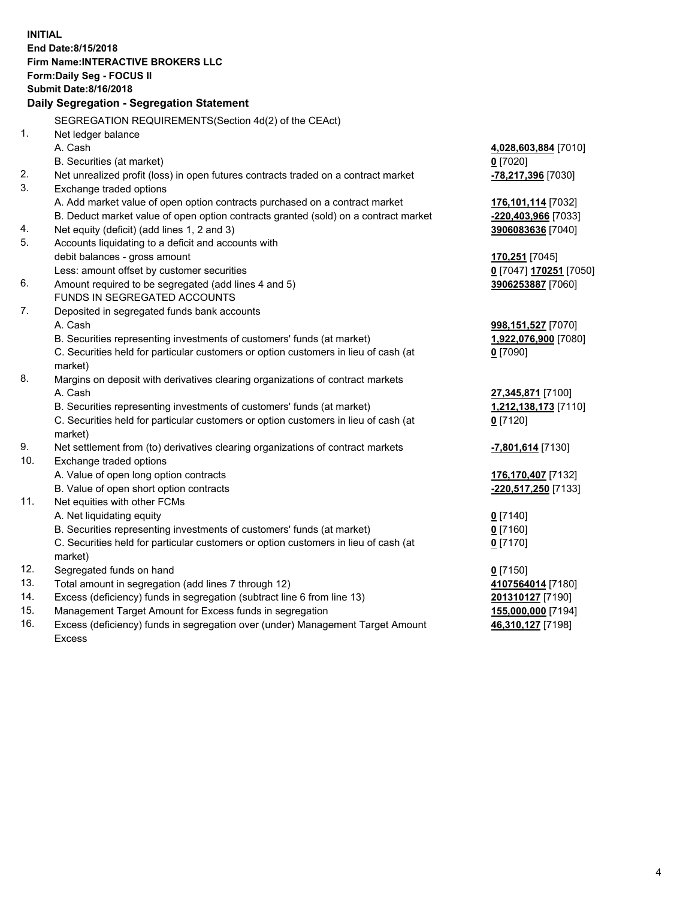**INITIAL End Date:8/15/2018 Firm Name:INTERACTIVE BROKERS LLC Form:Daily Seg - FOCUS II Submit Date:8/16/2018 Daily Segregation - Segregation Statement** SEGREGATION REQUIREMENTS(Section 4d(2) of the CEAct) 1. Net ledger balance A. Cash **4,028,603,884** [7010] B. Securities (at market) **0** [7020] 2. Net unrealized profit (loss) in open futures contracts traded on a contract market **-78,217,396** [7030] 3. Exchange traded options A. Add market value of open option contracts purchased on a contract market **176,101,114** [7032] B. Deduct market value of open option contracts granted (sold) on a contract market **-220,403,966** [7033] 4. Net equity (deficit) (add lines 1, 2 and 3) **3906083636** [7040] 5. Accounts liquidating to a deficit and accounts with debit balances - gross amount **170,251** [7045] Less: amount offset by customer securities **0** [7047] **170251** [7050] 6. Amount required to be segregated (add lines 4 and 5) **3906253887** [7060] FUNDS IN SEGREGATED ACCOUNTS 7. Deposited in segregated funds bank accounts A. Cash **998,151,527** [7070] B. Securities representing investments of customers' funds (at market) **1,922,076,900** [7080] C. Securities held for particular customers or option customers in lieu of cash (at market) **0** [7090] 8. Margins on deposit with derivatives clearing organizations of contract markets A. Cash **27,345,871** [7100] B. Securities representing investments of customers' funds (at market) **1,212,138,173** [7110] C. Securities held for particular customers or option customers in lieu of cash (at market) **0** [7120] 9. Net settlement from (to) derivatives clearing organizations of contract markets **-7,801,614** [7130] 10. Exchange traded options A. Value of open long option contracts **176,170,407** [7132] B. Value of open short option contracts **-220,517,250** [7133] 11. Net equities with other FCMs A. Net liquidating equity **0** [7140] B. Securities representing investments of customers' funds (at market) **0** [7160] C. Securities held for particular customers or option customers in lieu of cash (at market) **0** [7170] 12. Segregated funds on hand **0** [7150] 13. Total amount in segregation (add lines 7 through 12) **4107564014** [7180] 14. Excess (deficiency) funds in segregation (subtract line 6 from line 13) **201310127** [7190] 15. Management Target Amount for Excess funds in segregation **155,000,000** [7194] **46,310,127** [7198]

16. Excess (deficiency) funds in segregation over (under) Management Target Amount Excess